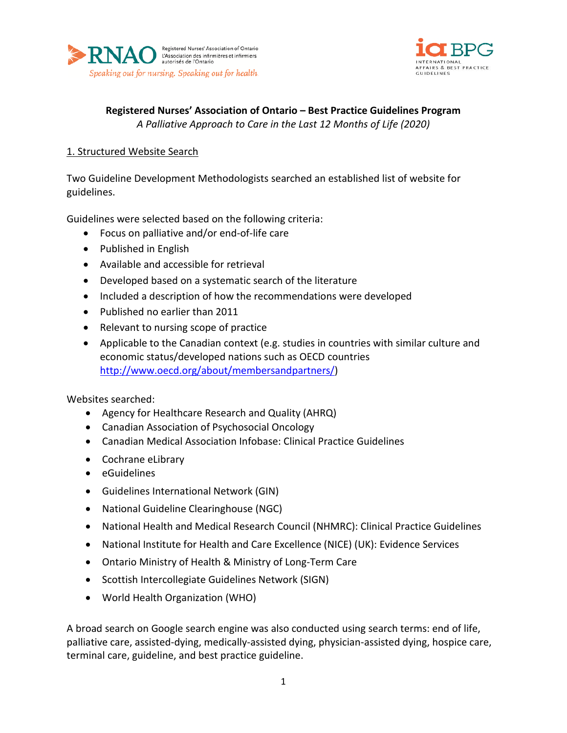



**Registered Nurses' Association of Ontario – Best Practice Guidelines Program** *A Palliative Approach to Care in the Last 12 Months of Life (2020)*

## 1. Structured Website Search

Two Guideline Development Methodologists searched an established list of website for guidelines.

Guidelines were selected based on the following criteria:

- Focus on palliative and/or end-of-life care
- Published in English
- Available and accessible for retrieval
- Developed based on a systematic search of the literature
- Included a description of how the recommendations were developed
- Published no earlier than 2011
- Relevant to nursing scope of practice
- Applicable to the Canadian context (e.g. studies in countries with similar culture and economic status/developed nations such as OECD countries [http://www.oecd.org/about/membersandpartners/\)](http://www.oecd.org/about/membersandpartners/)

Websites searched:

- Agency for Healthcare Research and Quality (AHRQ)
- Canadian Association of Psychosocial Oncology
- Canadian Medical Association Infobase: Clinical Practice Guidelines
- Cochrane eLibrary
- eGuidelines
- Guidelines International Network (GIN)
- National Guideline Clearinghouse (NGC)
- National Health and Medical Research Council (NHMRC): Clinical Practice Guidelines
- National Institute for Health and Care Excellence (NICE) (UK): Evidence Services
- Ontario Ministry of Health & Ministry of Long-Term Care
- Scottish Intercollegiate Guidelines Network (SIGN)
- World Health Organization (WHO)

A broad search on Google search engine was also conducted using search terms: end of life, palliative care, assisted-dying, medically-assisted dying, physician-assisted dying, hospice care, terminal care, guideline, and best practice guideline.